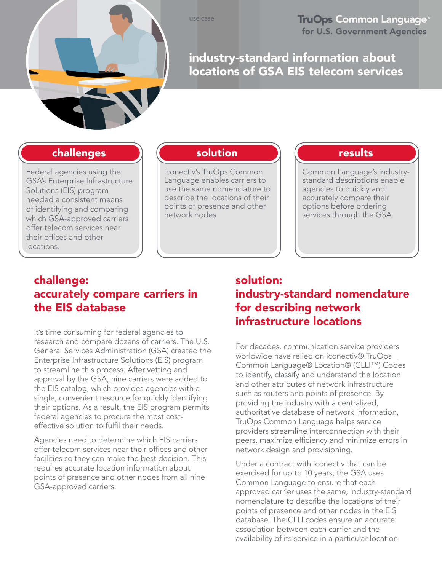use case

**TruOps Common Language<sup>®</sup>** for U.S. Government Agencies

# industry-standard information about locations of GSA EIS telecom services

### challenges

Federal agencies using the GSA's Enterprise Infrastructure Solutions (EIS) program needed a consistent means of identifying and comparing which GSA-approved carriers offer telecom services near their offices and other locations.

## solution

iconectiv's TruOps Common Language enables carriers to use the same nomenclature to describe the locations of their points of presence and other network nodes

### results

Common Language's industrystandard descriptions enable agencies to quickly and accurately compare their options before ordering services through the GSA

# challenge: accurately compare carriers in the EIS database

It's time consuming for federal agencies to research and compare dozens of carriers. The U.S. General Services Administration (GSA) created the Enterprise Infrastructure Solutions (EIS) program to streamline this process. After vetting and approval by the GSA, nine carriers were added to the EIS catalog, which provides agencies with a single, convenient resource for quickly identifying their options. As a result, the EIS program permits federal agencies to procure the most costeffective solution to fulfil their needs.

Agencies need to determine which EIS carriers offer telecom services near their offices and other facilities so they can make the best decision. This requires accurate location information about points of presence and other nodes from all nine GSA-approved carriers.

## solution: industry-standard nomenclature for describing network infrastructure locations

For decades, communication service providers worldwide have relied on iconectiv® TruOps Common Language® Location® (CLLI™) Codes to identify, classify and understand the location and other attributes of network infrastructure such as routers and points of presence. By providing the industry with a centralized, authoritative database of network information, TruOps Common Language helps service providers streamline interconnection with their peers, maximize efficiency and minimize errors in network design and provisioning.

Under a contract with iconectiv that can be exercised for up to 10 years, the GSA uses Common Language to ensure that each approved carrier uses the same, industry-standard nomenclature to describe the locations of their points of presence and other nodes in the EIS database. The CLLI codes ensure an accurate association between each carrier and the availability of its service in a particular location.